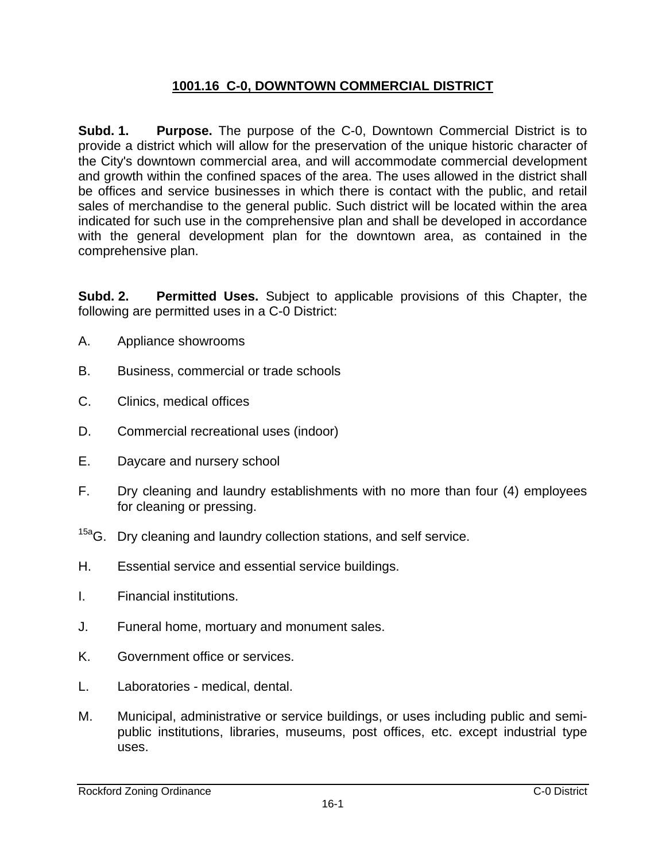## **1001.16 C-0, DOWNTOWN COMMERCIAL DISTRICT**

**Subd. 1. Purpose.** The purpose of the C-0, Downtown Commercial District is to provide a district which will allow for the preservation of the unique historic character of the City's downtown commercial area, and will accommodate commercial development and growth within the confined spaces of the area. The uses allowed in the district shall be offices and service businesses in which there is contact with the public, and retail sales of merchandise to the general public. Such district will be located within the area indicated for such use in the comprehensive plan and shall be developed in accordance with the general development plan for the downtown area, as contained in the comprehensive plan.

**Subd. 2. Permitted Uses.** Subject to applicable provisions of this Chapter, the following are permitted uses in a C-0 District:

- A. Appliance showrooms
- B. Business, commercial or trade schools
- C. Clinics, medical offices
- D. Commercial recreational uses (indoor)
- E. Daycare and nursery school
- F. Dry cleaning and laundry establishments with no more than four (4) employees for cleaning or pressing.
- <sup>15a</sup>G. Dry cleaning and laundry collection stations, and self service.
- H. Essential service and essential service buildings.
- I. Financial institutions.
- J. Funeral home, mortuary and monument sales.
- K. Government office or services.
- L. Laboratories medical, dental.
- M. Municipal, administrative or service buildings, or uses including public and semipublic institutions, libraries, museums, post offices, etc. except industrial type uses.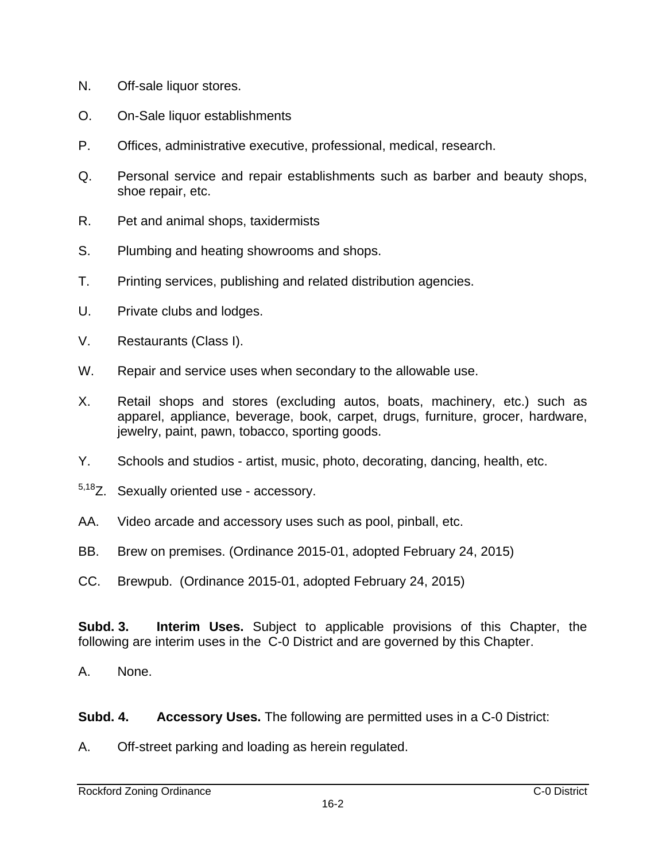- N. Off-sale liquor stores.
- O. On-Sale liquor establishments
- P. Offices, administrative executive, professional, medical, research.
- Q. Personal service and repair establishments such as barber and beauty shops, shoe repair, etc.
- R. Pet and animal shops, taxidermists
- S. Plumbing and heating showrooms and shops.
- T. Printing services, publishing and related distribution agencies.
- U. Private clubs and lodges.
- V. Restaurants (Class I).
- W. Repair and service uses when secondary to the allowable use.
- X. Retail shops and stores (excluding autos, boats, machinery, etc.) such as apparel, appliance, beverage, book, carpet, drugs, furniture, grocer, hardware, jewelry, paint, pawn, tobacco, sporting goods.
- Y. Schools and studios artist, music, photo, decorating, dancing, health, etc.
- 5,18Z. Sexually oriented use accessory.
- AA. Video arcade and accessory uses such as pool, pinball, etc.
- BB. Brew on premises. (Ordinance 2015-01, adopted February 24, 2015)
- CC. Brewpub. (Ordinance 2015-01, adopted February 24, 2015)

**Subd. 3. Interim Uses.** Subject to applicable provisions of this Chapter, the following are interim uses in the C-0 District and are governed by this Chapter.

- A. None.
- **Subd. 4. Accessory Uses.** The following are permitted uses in a C-0 District:
- A. Off-street parking and loading as herein regulated.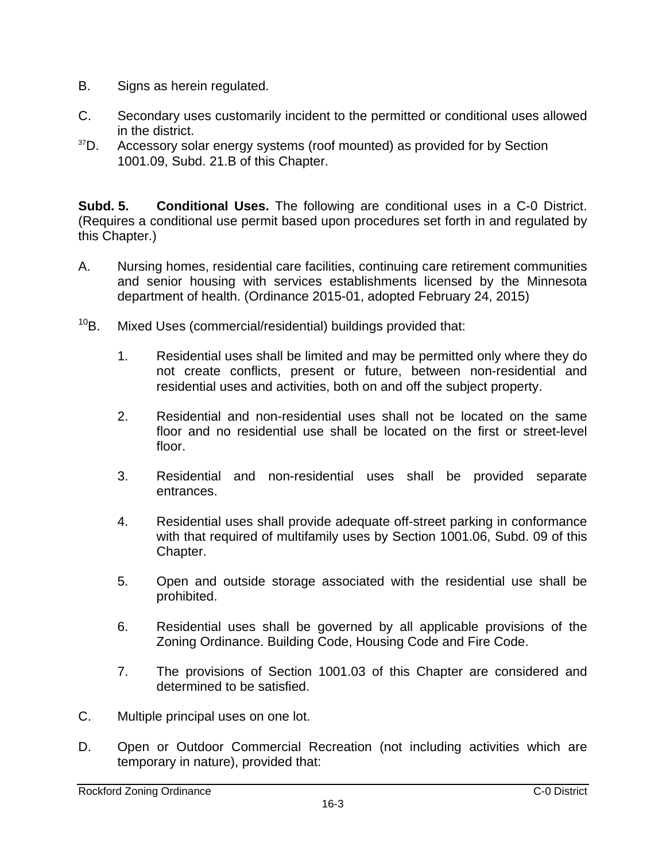- B. Signs as herein regulated.
- C. Secondary uses customarily incident to the permitted or conditional uses allowed in the district.
- $37D.$  Accessory solar energy systems (roof mounted) as provided for by Section 1001.09, Subd. 21.B of this Chapter.

**Subd. 5. Conditional Uses.** The following are conditional uses in a C-0 District. (Requires a conditional use permit based upon procedures set forth in and regulated by this Chapter.)

- A. Nursing homes, residential care facilities, continuing care retirement communities and senior housing with services establishments licensed by the Minnesota department of health. (Ordinance 2015-01, adopted February 24, 2015)
- <sup>10</sup>B. Mixed Uses (commercial/residential) buildings provided that:
	- 1. Residential uses shall be limited and may be permitted only where they do not create conflicts, present or future, between non-residential and residential uses and activities, both on and off the subject property.
	- 2. Residential and non-residential uses shall not be located on the same floor and no residential use shall be located on the first or street-level floor.
	- 3. Residential and non-residential uses shall be provided separate entrances.
	- 4. Residential uses shall provide adequate off-street parking in conformance with that required of multifamily uses by Section 1001.06, Subd. 09 of this Chapter.
	- 5. Open and outside storage associated with the residential use shall be prohibited.
	- 6. Residential uses shall be governed by all applicable provisions of the Zoning Ordinance. Building Code, Housing Code and Fire Code.
	- 7. The provisions of Section 1001.03 of this Chapter are considered and determined to be satisfied.
- C. Multiple principal uses on one lot.
- D. Open or Outdoor Commercial Recreation (not including activities which are temporary in nature), provided that: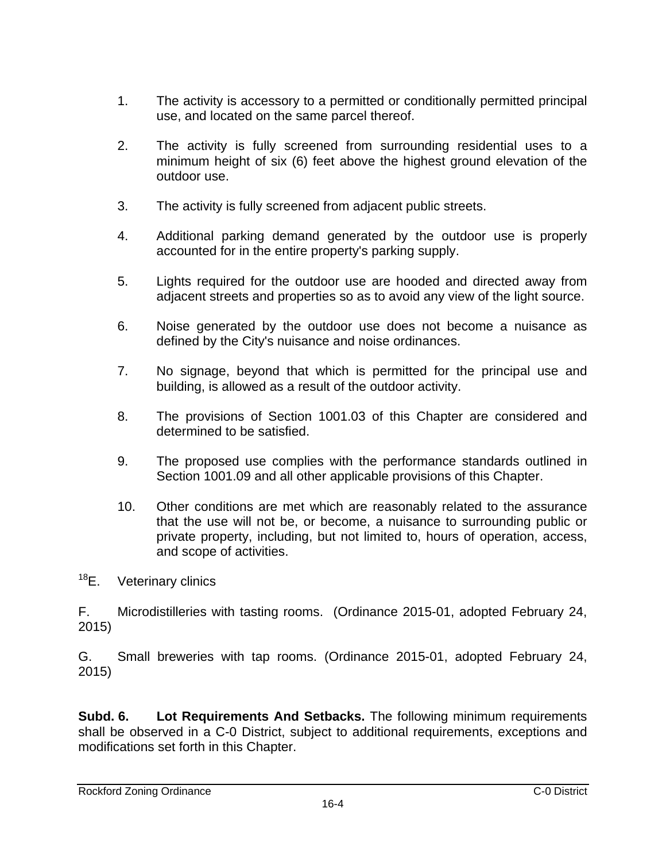- 1. The activity is accessory to a permitted or conditionally permitted principal use, and located on the same parcel thereof.
- 2. The activity is fully screened from surrounding residential uses to a minimum height of six (6) feet above the highest ground elevation of the outdoor use.
- 3. The activity is fully screened from adjacent public streets.
- 4. Additional parking demand generated by the outdoor use is properly accounted for in the entire property's parking supply.
- 5. Lights required for the outdoor use are hooded and directed away from adjacent streets and properties so as to avoid any view of the light source.
- 6. Noise generated by the outdoor use does not become a nuisance as defined by the City's nuisance and noise ordinances.
- 7. No signage, beyond that which is permitted for the principal use and building, is allowed as a result of the outdoor activity.
- 8. The provisions of Section 1001.03 of this Chapter are considered and determined to be satisfied.
- 9. The proposed use complies with the performance standards outlined in Section 1001.09 and all other applicable provisions of this Chapter.
- 10. Other conditions are met which are reasonably related to the assurance that the use will not be, or become, a nuisance to surrounding public or private property, including, but not limited to, hours of operation, access, and scope of activities.
- <sup>18</sup>E. Veterinary clinics

F. Microdistilleries with tasting rooms. (Ordinance 2015-01, adopted February 24, 2015)

G. Small breweries with tap rooms. (Ordinance 2015-01, adopted February 24, 2015)

**Subd. 6. Lot Requirements And Setbacks.** The following minimum requirements shall be observed in a C-0 District, subject to additional requirements, exceptions and modifications set forth in this Chapter.